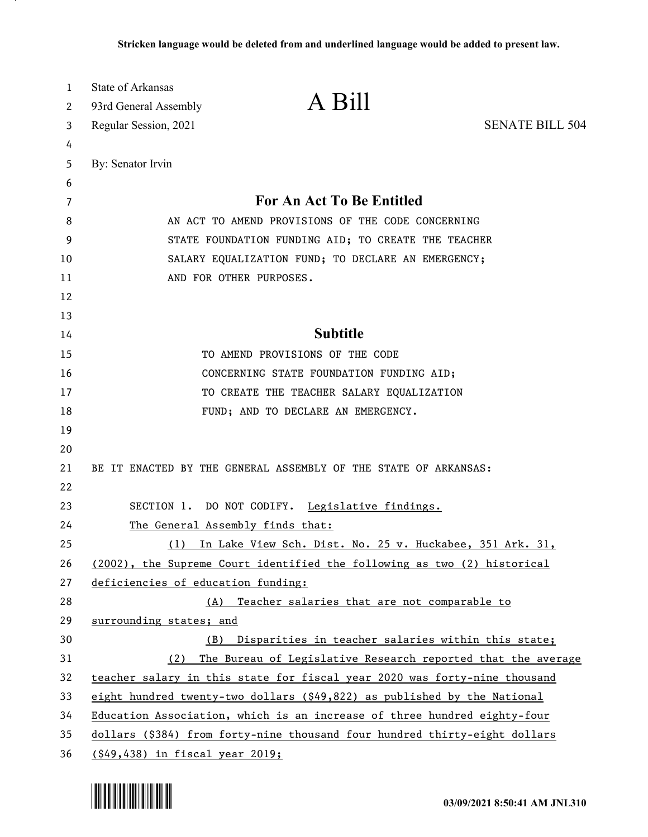| 1  | <b>State of Arkansas</b>                            |                                                                                   |                        |
|----|-----------------------------------------------------|-----------------------------------------------------------------------------------|------------------------|
| 2  | 93rd General Assembly                               | A Bill                                                                            |                        |
| 3  | Regular Session, 2021                               |                                                                                   | <b>SENATE BILL 504</b> |
| 4  |                                                     |                                                                                   |                        |
| 5  | By: Senator Irvin                                   |                                                                                   |                        |
| 6  |                                                     |                                                                                   |                        |
| 7  |                                                     | For An Act To Be Entitled                                                         |                        |
| 8  | AN ACT TO AMEND PROVISIONS OF THE CODE CONCERNING   |                                                                                   |                        |
| 9  | STATE FOUNDATION FUNDING AID; TO CREATE THE TEACHER |                                                                                   |                        |
| 10 |                                                     | SALARY EQUALIZATION FUND; TO DECLARE AN EMERGENCY;                                |                        |
| 11 |                                                     | AND FOR OTHER PURPOSES.                                                           |                        |
| 12 |                                                     |                                                                                   |                        |
| 13 |                                                     |                                                                                   |                        |
| 14 |                                                     | <b>Subtitle</b>                                                                   |                        |
| 15 |                                                     | TO AMEND PROVISIONS OF THE CODE                                                   |                        |
| 16 |                                                     | CONCERNING STATE FOUNDATION FUNDING AID;                                          |                        |
| 17 |                                                     | TO CREATE THE TEACHER SALARY EQUALIZATION                                         |                        |
| 18 |                                                     | FUND; AND TO DECLARE AN EMERGENCY.                                                |                        |
| 19 |                                                     |                                                                                   |                        |
| 20 |                                                     |                                                                                   |                        |
| 21 |                                                     | BE IT ENACTED BY THE GENERAL ASSEMBLY OF THE STATE OF ARKANSAS:                   |                        |
| 22 |                                                     |                                                                                   |                        |
| 23 |                                                     | SECTION 1. DO NOT CODIFY. Legislative findings.                                   |                        |
| 24 | The General Assembly finds that:                    |                                                                                   |                        |
| 25 | (1)                                                 | In Lake View Sch. Dist. No. 25 v. Huckabee, 351 Ark. 31,                          |                        |
| 26 |                                                     | (2002), the Supreme Court identified the following as two (2) historical          |                        |
| 27 | deficiencies of education funding:                  |                                                                                   |                        |
| 28 |                                                     | (A) Teacher salaries that are not comparable to                                   |                        |
| 29 | surrounding states; and                             |                                                                                   |                        |
| 30 | (B)                                                 | Disparities in teacher salaries within this state;                                |                        |
| 31 | (2)                                                 | The Bureau of Legislative Research reported that the average                      |                        |
| 32 |                                                     | teacher salary in this state for fiscal year 2020 was forty-nine thousand         |                        |
| 33 |                                                     | eight hundred twenty-two dollars $(\frac{649}{822})$ as published by the National |                        |
| 34 |                                                     | Education Association, which is an increase of three hundred eighty-four          |                        |
| 35 |                                                     | dollars (\$384) from forty-nine thousand four hundred thirty-eight dollars        |                        |
| 36 | (\$49,438) in fiscal year 2019;                     |                                                                                   |                        |

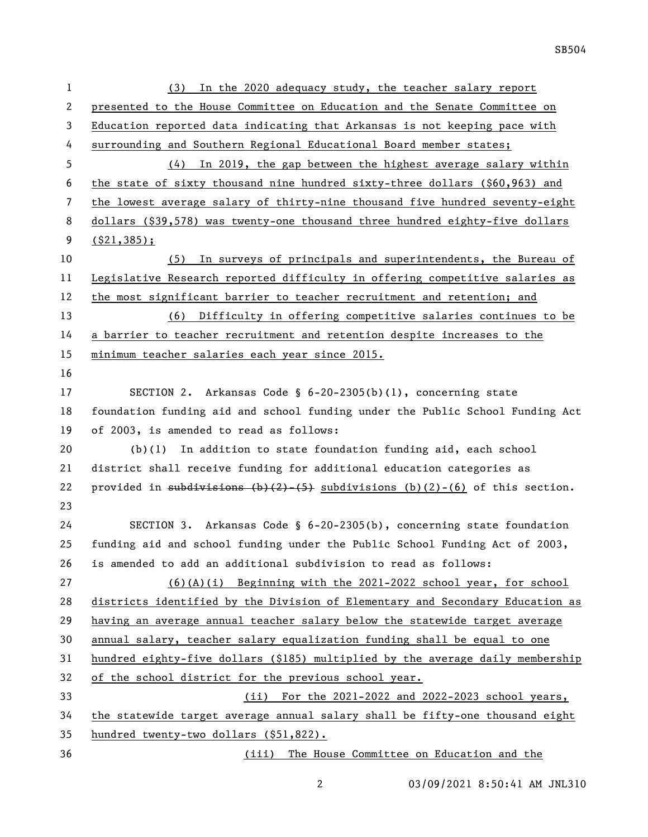| $\mathbf 1$ | In the 2020 adequacy study, the teacher salary report<br>(3)                         |  |  |
|-------------|--------------------------------------------------------------------------------------|--|--|
| 2           | presented to the House Committee on Education and the Senate Committee on            |  |  |
| 3           | Education reported data indicating that Arkansas is not keeping pace with            |  |  |
| 4           | surrounding and Southern Regional Educational Board member states;                   |  |  |
| 5           | (4) In 2019, the gap between the highest average salary within                       |  |  |
| 6           | the state of sixty thousand nine hundred sixty-three dollars (\$60,963) and          |  |  |
| 7           | the lowest average salary of thirty-nine thousand five hundred seventy-eight         |  |  |
| 8           | dollars (\$39,578) was twenty-one thousand three hundred eighty-five dollars         |  |  |
| 9           | $($ \$21,385);                                                                       |  |  |
| 10          | In surveys of principals and superintendents, the Bureau of<br>(5)                   |  |  |
| 11          | Legislative Research reported difficulty in offering competitive salaries as         |  |  |
| 12          | the most significant barrier to teacher recruitment and retention; and               |  |  |
| 13          | (6) Difficulty in offering competitive salaries continues to be                      |  |  |
| 14          | a barrier to teacher recruitment and retention despite increases to the              |  |  |
| 15          | minimum teacher salaries each year since 2015.                                       |  |  |
| 16          |                                                                                      |  |  |
| 17          | SECTION 2. Arkansas Code § $6-20-2305(b)(1)$ , concerning state                      |  |  |
| 18          | foundation funding aid and school funding under the Public School Funding Act        |  |  |
| 19          | of 2003, is amended to read as follows:                                              |  |  |
| 20          | $(b)(1)$ In addition to state foundation funding aid, each school                    |  |  |
| 21          | district shall receive funding for additional education categories as                |  |  |
| 22          | provided in subdivisions $(b)(2)$ $(5)$ subdivisions $(b)(2)$ $(6)$ of this section. |  |  |
| 23          |                                                                                      |  |  |
| 24          | SECTION 3. Arkansas Code § 6-20-2305(b), concerning state foundation                 |  |  |
| 25          | funding aid and school funding under the Public School Funding Act of 2003,          |  |  |
| 26          | is amended to add an additional subdivision to read as follows:                      |  |  |
| 27          | $(6)(A)(i)$ Beginning with the 2021-2022 school year, for school                     |  |  |
| 28          | districts identified by the Division of Elementary and Secondary Education as        |  |  |
| 29          | having an average annual teacher salary below the statewide target average           |  |  |
| 30          | annual salary, teacher salary equalization funding shall be equal to one             |  |  |
| 31          | hundred eighty-five dollars (\$185) multiplied by the average daily membership       |  |  |
| 32          | of the school district for the previous school year.                                 |  |  |
| 33          | (ii) For the 2021-2022 and 2022-2023 school years,                                   |  |  |
| 34          | the statewide target average annual salary shall be fifty-one thousand eight         |  |  |
| 35          | hundred twenty-two dollars (\$51,822).                                               |  |  |
| 36          | (iii) The House Committee on Education and the                                       |  |  |

03/09/2021 8:50:41 AM JNL310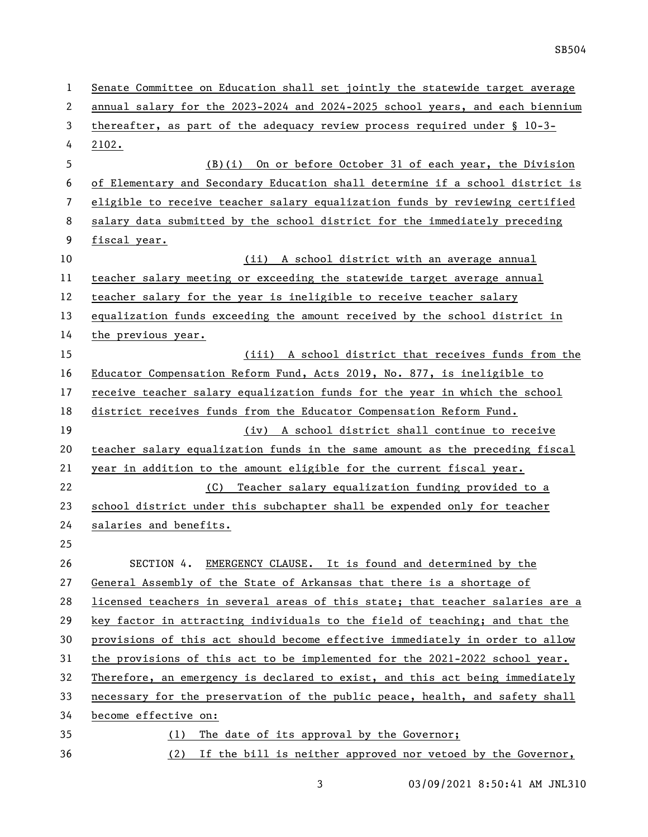| $\mathbf{1}$ | Senate Committee on Education shall set jointly the statewide target average  |  |
|--------------|-------------------------------------------------------------------------------|--|
| 2            | annual salary for the 2023-2024 and 2024-2025 school years, and each biennium |  |
| 3            | thereafter, as part of the adequacy review process required under $\S$ 10-3-  |  |
| 4            | 2102.                                                                         |  |
| 5            | (B)(i) On or before October 31 of each year, the Division                     |  |
| 6            | of Elementary and Secondary Education shall determine if a school district is |  |
| 7            | eligible to receive teacher salary equalization funds by reviewing certified  |  |
| 8            | salary data submitted by the school district for the immediately preceding    |  |
| 9            | fiscal year.                                                                  |  |
| 10           | (ii) A school district with an average annual                                 |  |
| 11           | teacher salary meeting or exceeding the statewide target average annual       |  |
| 12           | teacher salary for the year is ineligible to receive teacher salary           |  |
| 13           | equalization funds exceeding the amount received by the school district in    |  |
| 14           | the previous year.                                                            |  |
| 15           | (iii) A school district that receives funds from the                          |  |
| 16           | Educator Compensation Reform Fund, Acts 2019, No. 877, is ineligible to       |  |
| 17           | receive teacher salary equalization funds for the year in which the school    |  |
| 18           | district receives funds from the Educator Compensation Reform Fund.           |  |
| 19           | (iv) A school district shall continue to receive                              |  |
| 20           | teacher salary equalization funds in the same amount as the preceding fiscal  |  |
| 21           | year in addition to the amount eligible for the current fiscal year.          |  |
| 22           | Teacher salary equalization funding provided to a<br>(C)                      |  |
| 23           | school district under this subchapter shall be expended only for teacher      |  |
| 24           | salaries and benefits.                                                        |  |
| 25           |                                                                               |  |
| 26           | SECTION 4. EMERGENCY CLAUSE. It is found and determined by the                |  |
| 27           | General Assembly of the State of Arkansas that there is a shortage of         |  |
| 28           | licensed teachers in several areas of this state; that teacher salaries are a |  |
| 29           | key factor in attracting individuals to the field of teaching; and that the   |  |
| 30           | provisions of this act should become effective immediately in order to allow  |  |
| 31           | the provisions of this act to be implemented for the 2021-2022 school year.   |  |
| 32           | Therefore, an emergency is declared to exist, and this act being immediately  |  |
| 33           | necessary for the preservation of the public peace, health, and safety shall  |  |
| 34           | become effective on:                                                          |  |
| 35           | The date of its approval by the Governor;<br>(1)                              |  |
| 36           | (2) If the bill is neither approved nor vetoed by the Governor,               |  |

3 03/09/2021 8:50:41 AM JNL310